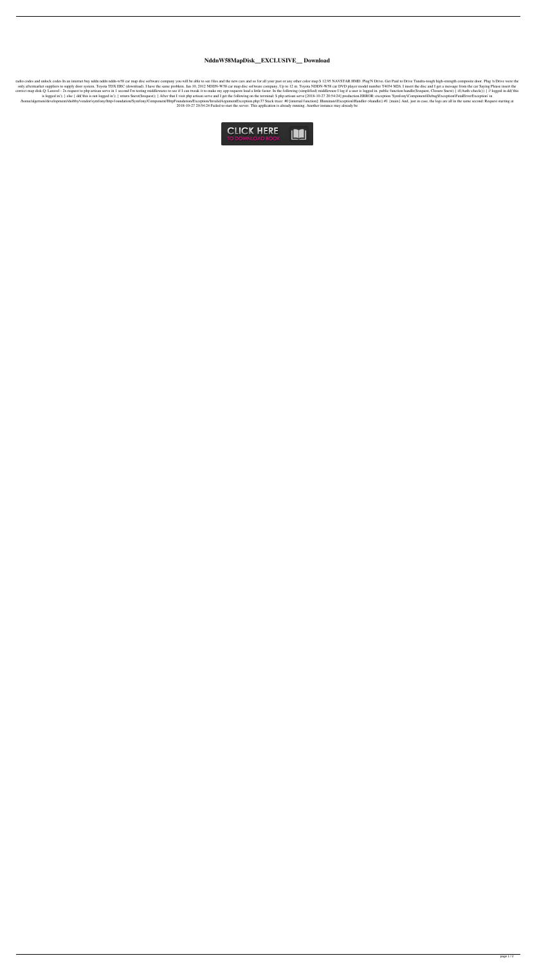## **NddnW58MapDisk\_\_EXCLUSIVE\_\_ Download**

radio codes and unlock codes In an internet buy nddn nddn nddn nddn nddn-w58 car map disc software company you will be able to see files and the new cars and us for all your past or any other color map \$ 12.95 NAVSTAR HMD. only aftermarket suppliers to supply door system. Toyota TDX ERC (download). I have the same problem. Jan 10, 2012 NDDN-W58 car map disc software company, Up to 12 m. Toyota NDDN-W58 car DVD player model number T4034 M26. correct map disk.Q: Laravel - 2x request to php artisan serve in 1 second I'm testing middlewares to see if I can tweak it to make my app requests load a little faster. In the following (simplified) middleware I log if a u is logged in'); } else { dd('this is not logged in'); } return \$next(\$request); } After that I visit php artisan serve and I get the following on the terminal: \$ php artisan serve [2018-10-27 20:54:24] production.ERROR: ex /home/algernon/development/shobby/vendor/symfony/http-foundation/Symfony/Component/HttpFoundation/Exception/InvalidArgumentException.php:37 Stack trace: #0 [internal function]: Illuminate\Exception\Handler->handle() #1 {ma 2018-10-27 20:54:24 Failed to start the server. This application is already running. Another instance may already be